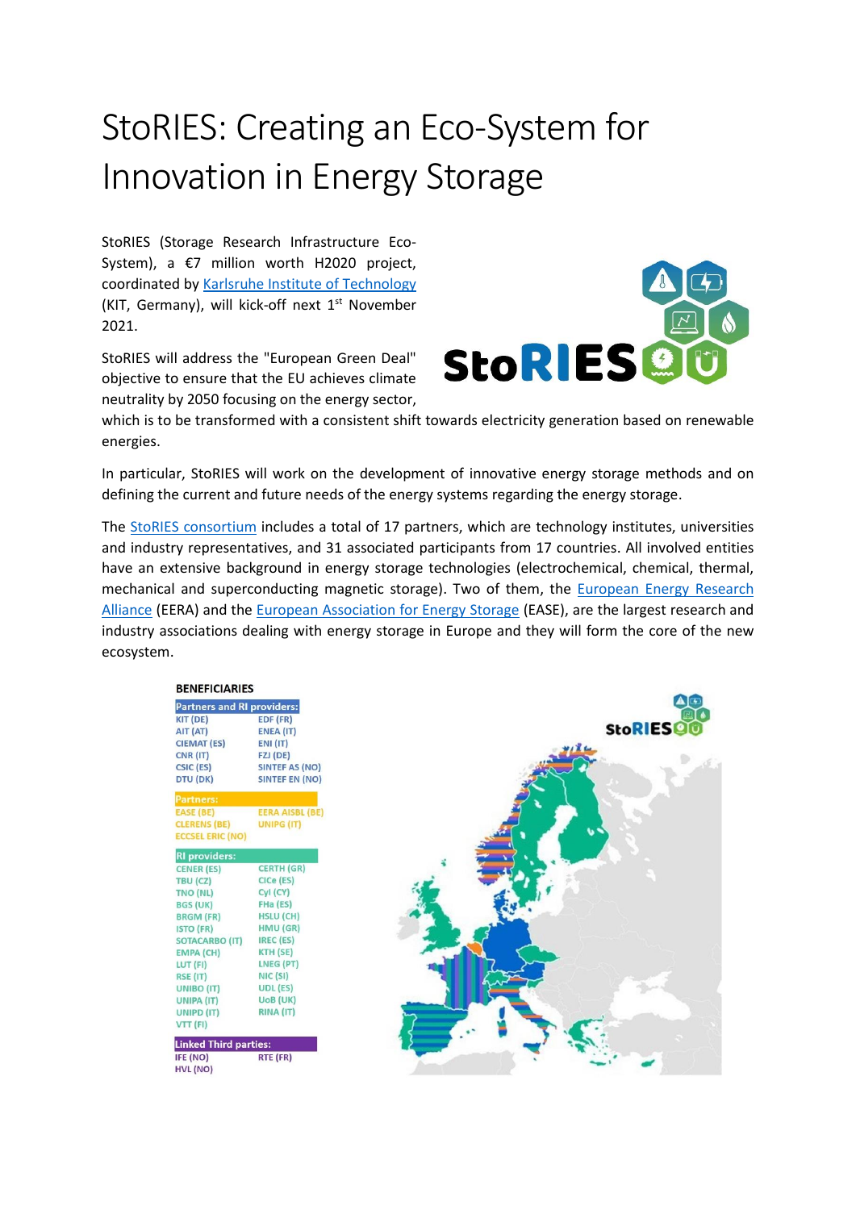## StoRIES: Creating an Eco-System for Innovation in Energy Storage

StoRIES (Storage Research Infrastructure Eco-System), a €7 million worth H2020 project, coordinated by [Karlsruhe Institute of Technology](https://www.kit.edu/) (KIT, Germany), will kick-off next 1<sup>st</sup> November 2021.

StoRIES will address the "European Green Deal" objective to ensure that the EU achieves climate neutrality by 2050 focusing on the energy sector,



which is to be transformed with a consistent shift towards electricity generation based on renewable energies.

In particular, StoRIES will work on the development of innovative energy storage methods and on defining the current and future needs of the energy systems regarding the energy storage.

The [StoRIES consortium](https://www.eera-energystorage.eu/stories.html) includes a total of 17 partners, which are technology institutes, universities and industry representatives, and 31 associated participants from 17 countries. All involved entities have an extensive background in energy storage technologies (electrochemical, chemical, thermal, mechanical and superconducting magnetic storage). Two of them, the [European Energy Research](https://www.eera-set.eu/)  [Alliance](https://www.eera-set.eu/) (EERA) and the [European Association for Energy Storage](https://ease-storage.eu/) (EASE), are the largest research and industry associations dealing with energy storage in Europe and they will form the core of the new ecosystem.

| <b>BENEFICIARIES</b>              |                        |
|-----------------------------------|------------------------|
| <b>Partners and RI providers:</b> |                        |
| KIT (DE)                          | EDF (FR)               |
| AIT (AT)                          | ENEA (IT)              |
| <b>CIEMAT (ES)</b>                | <b>ENI (IT)</b>        |
| CNR (IT)                          | FZJ (DE)               |
| CSIC (ES)                         | <b>SINTEF AS (NO)</b>  |
| DTU (DK)                          | <b>SINTEF EN (NO)</b>  |
| <b>Partners:</b>                  |                        |
| EASE (BE)                         | <b>EERA AISBL (BE)</b> |
| <b>CLERENS (BE)</b>               | UNIPG (IT)             |
| <b>ECCSEL ERIC (NO)</b>           |                        |
| <b>RI</b> providers:              |                        |
| <b>CENER (ES)</b>                 | <b>CERTH (GR)</b>      |
| TBU (CZ)                          | CICe (ES)              |
| TNO (NL)                          | Cyl (CY)               |
| <b>BGS (UK)</b>                   | FHa (ES)               |
| <b>BRGM (FR)</b>                  | <b>HSLU (CH)</b>       |
| <b>ISTO (FR)</b>                  | HMU (GR)               |
| <b>SOTACARBO (IT)</b>             | IREC (ES)              |
| <b>EMPA (CH)</b>                  | KTH (SE)               |
| LUT (FI)                          | LNEG (PT)              |
| RSE (IT)                          | NIC (SI)               |
| UNIBO (IT)                        | UDL (ES)               |
| UNIPA (IT)                        | UoB (UK)               |
| UNIPD (IT)                        | RINA (IT)              |
| VTT (FI)                          |                        |
| <b>Linked Third parties:</b>      |                        |
| IFE (NO)                          | RTE (FR)               |
| <b>HVL (NO)</b>                   |                        |